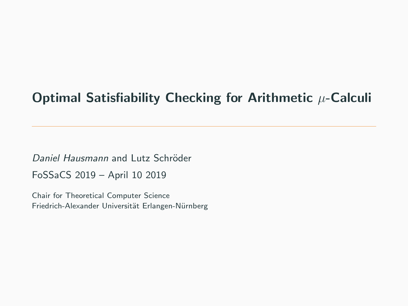# Optimal Satisfiability Checking for Arithmetic  $\mu$ -Calculi

Daniel Hausmann and Lutz Schröder FoSSaCS 2019 – April 10 2019

Chair for Theoretical Computer Science Friedrich-Alexander Universität Erlangen-Nürnberg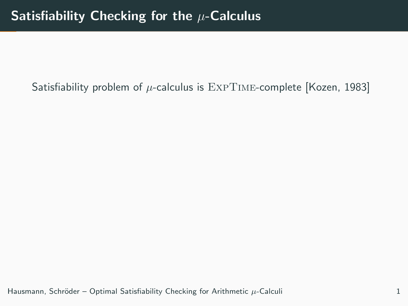# Satisfiability problem of  $\mu$ -calculus is  $\text{EXPTIME-complete}$  [Kozen, 1983]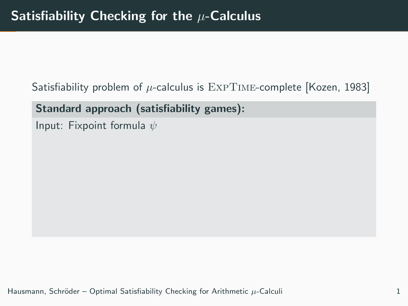Satisfiability problem of  $\mu$ -calculus is  $\text{EXPTIME-complete}$  [Kozen, 1983]

Standard approach (satisfiability games):

Input: Fixpoint formula  $\psi$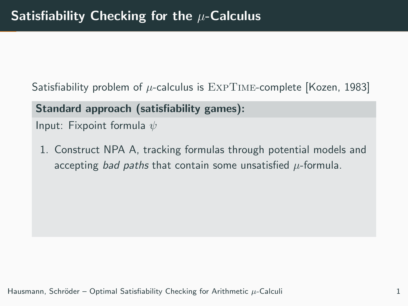Satisfiability problem of  $\mu$ -calculus is  $\text{EXPTIME-complete }$  [Kozen, 1983]

Standard approach (satisfiability games):

Input: Fixpoint formula  $\psi$ 

1. Construct NPA A, tracking formulas through potential models and accepting bad paths that contain some unsatisfied  $\mu$ -formula.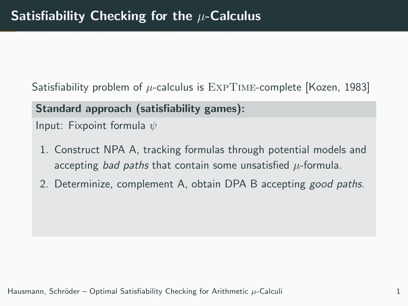Satisfiability problem of  $\mu$ -calculus is  $\text{EXPTIME-complete}$  [Kozen, 1983]

Standard approach (satisfiability games):

Input: Fixpoint formula  $\psi$ 

- 1. Construct NPA A, tracking formulas through potential models and accepting bad paths that contain some unsatisfied  $\mu$ -formula.
- 2. Determinize, complement A, obtain DPA B accepting good paths.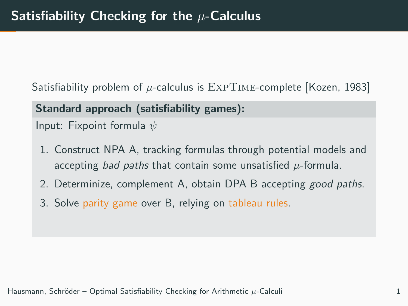Satisfiability problem of  $\mu$ -calculus is  $\text{EXPTIME-complete }$  [Kozen, 1983]

Standard approach (satisfiability games):

Input: Fixpoint formula  $\psi$ 

- 1. Construct NPA A, tracking formulas through potential models and accepting bad paths that contain some unsatisfied  $\mu$ -formula.
- 2. Determinize, complement A, obtain DPA B accepting good paths.
- 3. Solve parity game over B, relying on tableau rules.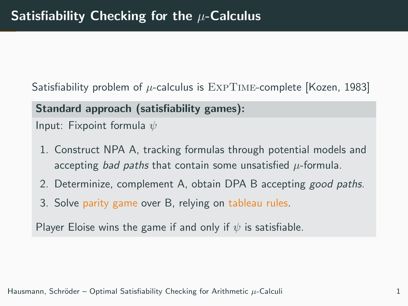Satisfiability problem of  $\mu$ -calculus is  $\text{EXPTIME-complete}$  [Kozen, 1983]

Standard approach (satisfiability games):

Input: Fixpoint formula  $\psi$ 

- 1. Construct NPA A, tracking formulas through potential models and accepting bad paths that contain some unsatisfied  $\mu$ -formula.
- 2. Determinize, complement A, obtain DPA B accepting good paths.
- 3. Solve parity game over B, relying on tableau rules.

Player Eloise wins the game if and only if  $\psi$  is satisfiable.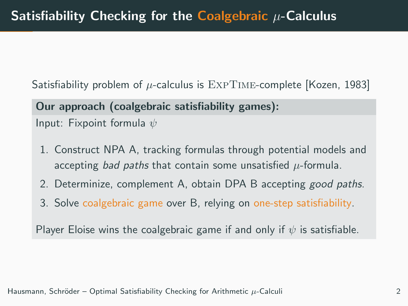Satisfiability problem of  $\mu$ -calculus is  $\text{EXPTIME-complete}$  [Kozen, 1983]

Our approach (coalgebraic satisfiability games): Input: Fixpoint formula  $\psi$ 

- 1. Construct NPA A, tracking formulas through potential models and accepting bad paths that contain some unsatisfied  $\mu$ -formula.
- 2. Determinize, complement A, obtain DPA B accepting good paths.
- 3. Solve coalgebraic game over B, relying on one-step satisfiability.

Player Eloise wins the coalgebraic game if and only if  $\psi$  is satisfiable.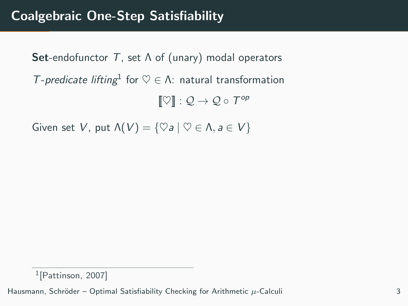**Set-endofunctor T**, set  $\Lambda$  of (unary) modal operators T-predicate lifting<sup>1</sup> for  $\heartsuit \in \Lambda$ : natural transformation  $[\![ \heartsuit ]\!] : \mathcal{Q} \to \mathcal{Q} \circ \mathcal{T}^{op}$ 

Given set V, put  $\Lambda(V) = \{ \heartsuit a \mid \heartsuit \in \Lambda, a \in V \}$ 

<sup>1</sup> [Pattinson, 2007]

Hausmann, Schröder – Optimal Satisfiability Checking for Arithmetic  $\mu$ -Calculi 3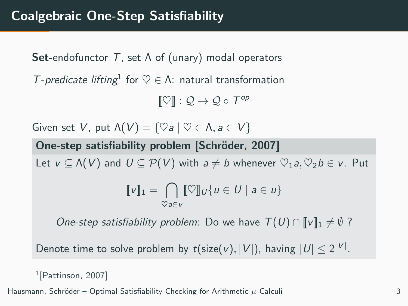**Set-endofunctor** T, set  $\Lambda$  of (unary) modal operators T-predicate lifting<sup>1</sup> for  $\heartsuit \in \Lambda$ : natural transformation

 $[\![ \heartsuit ]\!] : \mathcal{Q} \to \mathcal{Q} \circ \mathcal{T}^{op}$ 

Given set V, put  $\Lambda(V) = \{ \heartsuit a \mid \heartsuit \in \Lambda, a \in V \}$ 

One-step satisfiability problem [Schröder, 2007] Let  $v \subseteq \Lambda(V)$  and  $U \subseteq \mathcal{P}(V)$  with  $a \neq b$  whenever  $\heartsuit_1a, \heartsuit_2b \in v$ . Put  $\llbracket v \rrbracket_1 = \bigcap \llbracket \heartsuit \rrbracket_U \{ u \in U \mid a \in u \}$  $\heartsuit$ a∈v

One-step satisfiability problem: Do we have  $T(U) \cap \llbracket v \rrbracket_1 \neq \emptyset$ ?

Denote time to solve problem by  $t$ (size(v),  $|V|$ ), having  $|U| \leq 2^{|V|}$ .

<sup>1</sup> [Pattinson, 2007]

Hausmann, Schröder – Optimal Satisfiability Checking for Arithmetic  $\mu$ -Calculi 3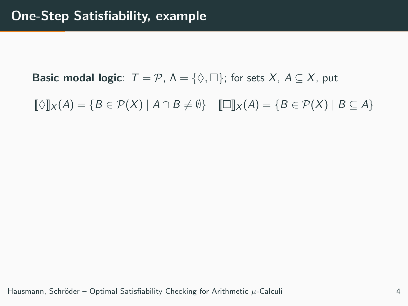**Basic modal logic**:  $T = P$ ,  $\Lambda = \{ \Diamond, \Box \}$ ; for sets X,  $A \subseteq X$ , put

 $[\![\Diamond]\!]_X(A) = \{B \in \mathcal{P}(X) \mid A \cap B \neq \emptyset\}$   $[\![\Box]\!]_X(A) = \{B \in \mathcal{P}(X) \mid B \subseteq A\}$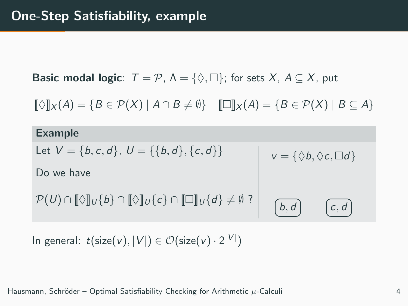**Basic modal logic:**  $T = \mathcal{P}$ ,  $\Lambda = \{ \Diamond, \Box \}$ ; for sets X,  $A \subseteq X$ , put

 $[\![\Diamond]\!]_X(A) = \{B \in \mathcal{P}(X) \mid A \cap B \neq \emptyset\}$   $[\![\Box]\!]_X(A) = \{B \in \mathcal{P}(X) \mid B \subseteq A\}$ 

| <b>Example</b>                                                                                                          |                                          |
|-------------------------------------------------------------------------------------------------------------------------|------------------------------------------|
| Let $V = \{b, c, d\}, U = \{\{b, d\}, \{c, d\}\}\$                                                                      | $v = \{\Diamond b, \Diamond c, \Box d\}$ |
| Do we have                                                                                                              |                                          |
| $\mathcal{P}(U) \cap [\![\Diamond]\!]_U \{b\} \cap [\![\Diamond]\!]_U \{c\} \cap [\![\Box]\!]_U \{d\} \neq \emptyset ?$ | b, d                                     |

In general:  $t(\text{size}(v), |V|) \in \mathcal{O}(\text{size}(v) \cdot 2^{|V|})$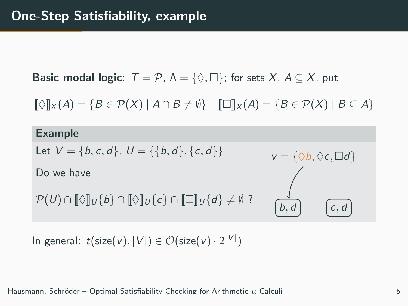**Basic modal logic:**  $T = \mathcal{P}$ ,  $\Lambda = \{\Diamond, \Box\}$ ; for sets X,  $A \subseteq X$ , put

 $[\![\Diamond]\!]_X(A) = \{B \in \mathcal{P}(X) \mid A \cap B \neq \emptyset\}$   $[\![\Box]\!]_X(A) = \{B \in \mathcal{P}(X) \mid B \subseteq A\}$ 

#### Example

Let  $V = \{b, c, d\}, U = \{\{b, d\}, \{c, d\}\}\$ 

Do we have

$$
\mathcal{P}(U) \cap [\![\Diamond]\!]_U \{b\} \cap [\![\Diamond]\!]_U \{c\} \cap [\![\Box]\!]_U \{d\} \neq \emptyset ?
$$

$$
v = \{ \Diamond b, \Diamond c, \Box d \}
$$
  

$$
\downarrow
$$
  

$$
\phi
$$
  

$$
\phi
$$
  

$$
\phi
$$
  

$$
\phi
$$
  

$$
\phi
$$
  

$$
\phi
$$
  

$$
\phi
$$
  

$$
\phi
$$
  

$$
\phi
$$
  

$$
\phi
$$
  

$$
\phi
$$
  

$$
\phi
$$
  

$$
\phi
$$
  

$$
\phi
$$
  

$$
\phi
$$
  

$$
\phi
$$
  

$$
\phi
$$
  

$$
\phi
$$

In general:  $t(\text{size}(v), |V|) \in \mathcal{O}(\text{size}(v) \cdot 2^{|V|})$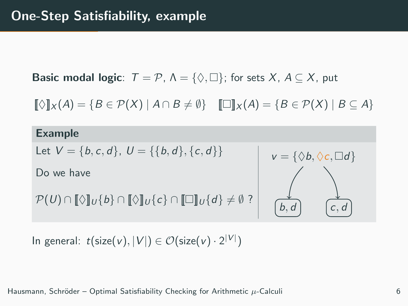**Basic modal logic:**  $T = \mathcal{P}$ ,  $\Lambda = \{\Diamond, \Box\}$ ; for sets X,  $A \subseteq X$ , put

 $[\![\Diamond]\!]_X(A) = \{B \in \mathcal{P}(X) \mid A \cap B \neq \emptyset\}$   $[\![\Box]\!]_X(A) = \{B \in \mathcal{P}(X) \mid B \subseteq A\}$ 

#### Example

Let  $V = \{b, c, d\}, U = \{\{b, d\}, \{c, d\}\}\$ 

Do we have

$$
\mathcal{P}(U) \cap [\![\Diamond]\!]_U \{b\} \cap [\![\Diamond]\!]_U \{c\} \cap [\![\Box]\!]_U \{d\} \neq \emptyset ?
$$



In general:  $t(\text{size}(v), |V|) \in \mathcal{O}(\text{size}(v) \cdot 2^{|V|})$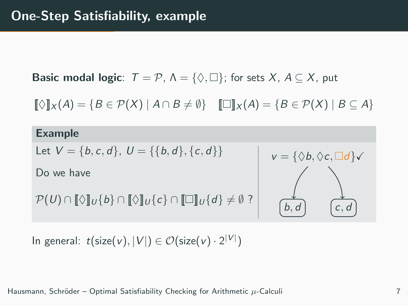**Basic modal logic:**  $T = \mathcal{P}$ ,  $\Lambda = \{\Diamond, \Box\}$ ; for sets X,  $A \subseteq X$ , put

 $[\![\Diamond]\!]_X(A) = \{B \in \mathcal{P}(X) \mid A \cap B \neq \emptyset\}$   $[\![\Box]\!]_X(A) = \{B \in \mathcal{P}(X) \mid B \subseteq A\}$ 

#### Example

Let  $V = \{b, c, d\}, U = \{\{b, d\}, \{c, d\}\}\$ 

Do we have

```
\mathcal{P}(U) \cap [\![\Diamond]\!]_U \{b\} \cap [\![\Diamond]\!]_U \{c\} \cap [\![\Box]\!]_U \{d\} \neq \emptyset ?
```


In general:  $t(\text{size}(v), |V|) \in \mathcal{O}(\text{size}(v) \cdot 2^{|V|})$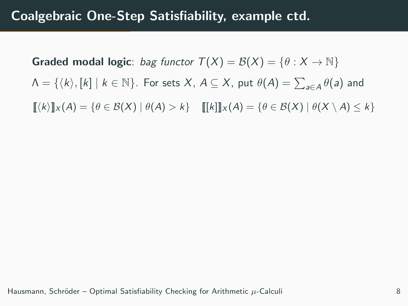**Graded modal logic**: bag functor  $T(X) = \mathcal{B}(X) = \{ \theta : X \to \mathbb{N} \}$  $\Lambda = \{ \langle k \rangle, [k] \mid k \in \mathbb{N} \}.$  For sets  $X$ ,  $A \subseteq X$ , put  $\theta(A) = \sum_{a \in A} \theta(a)$  and  $\llbracket (k) \rrbracket_X (A) = \{ \theta \in \mathcal{B}(X) \mid \theta(A) > k \}$   $\llbracket [k] \rrbracket_X (A) = \{ \theta \in \mathcal{B}(X) \mid \theta(X \setminus A) < k \}$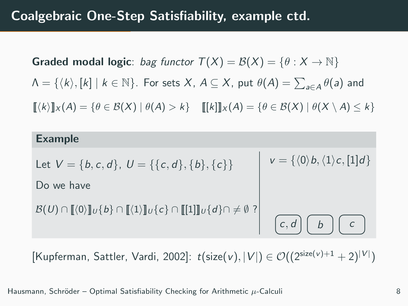**Graded modal logic**: bag functor  $T(X) = B(X) = \{ \theta : X \to \mathbb{N} \}$  $\Lambda = \{ \langle k \rangle, [k] \mid k \in \mathbb{N} \}.$  For sets  $X$ ,  $A \subseteq X$ , put  $\theta(A) = \sum_{a \in A} \theta(a)$  and  $\llbracket \langle k \rangle \rrbracket_X(A) = \{ \theta \in \mathcal{B}(X) \mid \theta(A) > k \}$   $\llbracket \llbracket k \rrbracket_X(A) = \{ \theta \in \mathcal{B}(X) \mid \theta(X \setminus A) < k \}$ 

| <b>Example</b>                                                                                                                                                                                               |                                                          |
|--------------------------------------------------------------------------------------------------------------------------------------------------------------------------------------------------------------|----------------------------------------------------------|
| Let $V = \{b, c, d\}, U = \{\{c, d\}, \{b\}, \{c\}\}\$                                                                                                                                                       | $v = \{\langle 0 \rangle b, \langle 1 \rangle c, [1]d\}$ |
| Do we have                                                                                                                                                                                                   |                                                          |
| $\mathcal{B}(U) \cap \llbracket \langle 0 \rangle \rrbracket_U \{b\} \cap \llbracket \langle 1 \rangle \rrbracket_U \{c\} \cap \llbracket \llbracket 1 \rrbracket \rrbracket_U \{d\} \cap \neq \emptyset \}$ | $c, d \mid b \mid$                                       |

[Kupferman, Sattler, Vardi, 2002]:  $t$ (size(v),  $|V|$ )  $\in \mathcal{O}((2^{\text{size}(v)+1}+2)^{|V|})$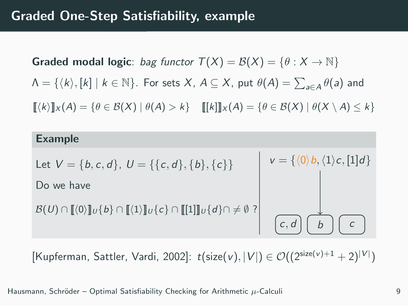**Graded modal logic**: bag functor  $T(X) = B(X) = \{ \theta : X \to \mathbb{N} \}$  $\Lambda = \{ \langle k \rangle, [k] \mid k \in \mathbb{N} \}.$  For sets  $X$ ,  $A \subseteq X$ , put  $\theta(A) = \sum_{a \in A} \theta(a)$  and  $\llbracket \langle k \rangle \rrbracket_X(A) = \{ \theta \in \mathcal{B}(X) \mid \theta(A) > k \}$   $\llbracket \llbracket k \rrbracket_X(A) = \{ \theta \in \mathcal{B}(X) \mid \theta(X \setminus A) < k \}$ 

| <b>Example</b>                                                                                                                                                                                              |                                                          |
|-------------------------------------------------------------------------------------------------------------------------------------------------------------------------------------------------------------|----------------------------------------------------------|
| Let $V = \{b, c, d\}, U = \{\{c, d\}, \{b\}, \{c\}\}\$                                                                                                                                                      | $v = \{\langle 0 \rangle b, \langle 1 \rangle c, [1]d\}$ |
| Do we have                                                                                                                                                                                                  |                                                          |
| $\mathcal{B}(U) \cap \llbracket \langle 0 \rangle \rrbracket_U \{b\} \cap \llbracket \langle 1 \rangle \rrbracket_U \{c\} \cap \llbracket \llbracket 1 \rrbracket_U \{d\} \cap \neq \emptyset ? \rrbracket$ |                                                          |

[Kupferman, Sattler, Vardi, 2002]:  $t$ (size(v),  $|V|$ )  $\in \mathcal{O}((2^{\text{size}(v)+1}+2)^{|V|})$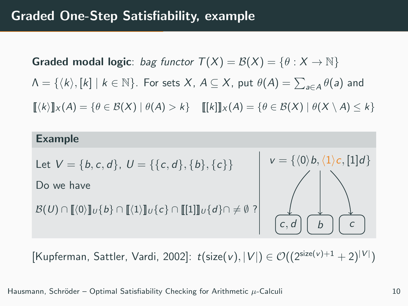**Graded modal logic**: bag functor  $T(X) = \mathcal{B}(X) = \{ \theta : X \to \mathbb{N} \}$  $\Lambda = \{ \langle k \rangle, [k] \mid k \in \mathbb{N} \}.$  For sets  $X$ ,  $A \subseteq X$ , put  $\theta(A) = \sum_{a \in A} \theta(a)$  and  $\llbracket (k) \rrbracket_X (A) = \{ \theta \in \mathcal{B}(X) \mid \theta(A) > k \}$   $\llbracket [k] \rrbracket_X (A) = \{ \theta \in \mathcal{B}(X) \mid \theta(X \setminus A) < k \}$ 



[Kupferman, Sattler, Vardi, 2002]:  $t$ (size(v),  $|V|$ )  $\in \mathcal{O}((2^{\text{size}(v)+1}+2)^{|V|})$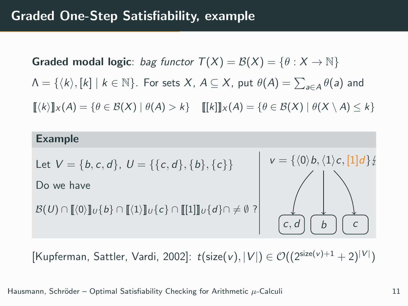**Graded modal logic**: bag functor  $T(X) = \mathcal{B}(X) = \{ \theta : X \to \mathbb{N} \}$  $\Lambda = \{ \langle k \rangle, [k] \mid k \in \mathbb{N} \}.$  For sets  $X$ ,  $A \subseteq X$ , put  $\theta(A) = \sum_{a \in A} \theta(a)$  and  $\llbracket (k) \rrbracket_X (A) = \{ \theta \in \mathcal{B}(X) \mid \theta(A) > k \}$   $\llbracket [k] \rrbracket_X (A) = \{ \theta \in \mathcal{B}(X) \mid \theta(X \setminus A) < k \}$ 



[Kupferman, Sattler, Vardi, 2002]:  $t$ (size(v),  $|V|$ )  $\in \mathcal{O}((2^{\text{size}(v)+1}+2)^{|V|})$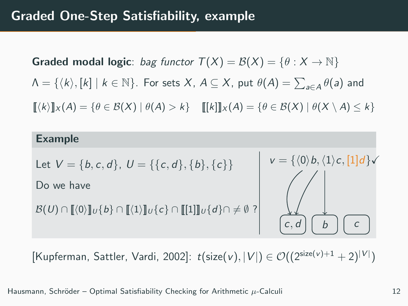**Graded modal logic**: bag functor  $T(X) = \mathcal{B}(X) = \{ \theta : X \to \mathbb{N} \}$  $\Lambda = \{ \langle k \rangle, [k] \mid k \in \mathbb{N} \}.$  For sets  $X$ ,  $A \subseteq X$ , put  $\theta(A) = \sum_{a \in A} \theta(a)$  and  $[[k]]_X(A) = {\theta \in \mathcal{B}(X) | \theta(A) > k}$   $[[k]]_X(A) = {\theta \in \mathcal{B}(X) | \theta(X \setminus A) < k}$ 



[Kupferman, Sattler, Vardi, 2002]:  $t$ (size(v),  $|V|$ )  $\in \mathcal{O}((2^{\text{size}(v)+1}+2)^{|V|})$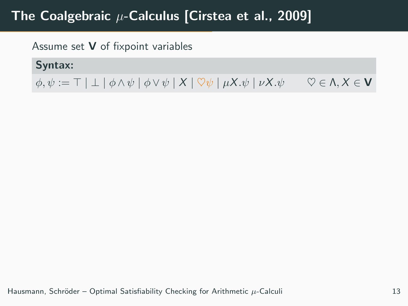# The Coalgebraic  $\mu$ -Calculus [Cirstea et al., 2009]

Assume set V of fixpoint variables

Syntax:

 $\phi, \psi := \top | \bot | \phi \wedge \psi | \phi \vee \psi | X | \nabla \psi | \mu X. \psi | \nu X. \psi \quad \nabla \in \Lambda, X \in \mathbf{V}$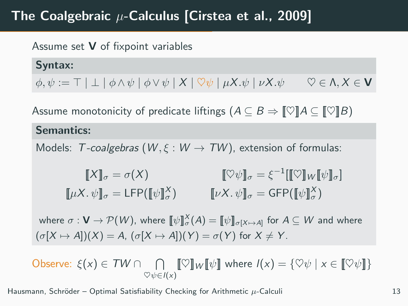# The Coalgebraic  $\mu$ -Calculus [Cirstea et al., 2009]

### Assume set  $V$  of fixpoint variables

Syntax:  $\phi, \psi := \top | \bot | \phi \wedge \psi | \phi \vee \psi | X | \nabla \psi | \mu X. \psi | \nu X. \psi \quad \nabla \in \Lambda, X \in \mathbf{V}$ 

Assume monotonicity of predicate liftings  $(A \subseteq B \Rightarrow \llbracket \heartsuit \rrbracket A \subseteq \llbracket \heartsuit \rrbracket B)$ 

#### Semantics:

Models: T-coalgebras  $(W, \xi : W \rightarrow TW)$ , extension of formulas:

$$
\begin{aligned}\n\llbracket X \rrbracket_{\sigma} &= \sigma(X) & \llbracket \heartsuit \psi \rrbracket_{\sigma} &= \xi^{-1} \llbracket \llbracket \heartsuit \rrbracket_{W} \llbracket \psi \rrbracket_{\sigma} \rrbracket \\
\llbracket \mu X. \psi \rrbracket_{\sigma} &= \text{GFP}(\llbracket \psi \rrbracket_{\sigma}^{X}) & \llbracket \nu X. \psi \rrbracket_{\sigma} &= \text{GFP}(\llbracket \psi \rrbracket_{\sigma}^{X})\n\end{aligned}
$$

where  $\sigma: \mathbf{V}\to \mathcal{P}(W)$ , where  $\llbracket \psi\rrbracket_\sigma^X(A)=\llbracket \psi\rrbracket_{\sigma[X\mapsto A]}$  for  $A\subseteq W$  and where  $(\sigma[X \mapsto A])(X) = A$ ,  $(\sigma[X \mapsto A])(Y) = \sigma(Y)$  for  $X \neq Y$ .

Observe:  $\xi(x) \in TW \cap \cap \llbracket \heartsuit \rrbracket_W \llbracket \psi \rrbracket$  where  $I(x) = \{\heartsuit \psi \mid x \in \llbracket \heartsuit \psi \rrbracket\}$  $\heartsuit\psi \in I(x)$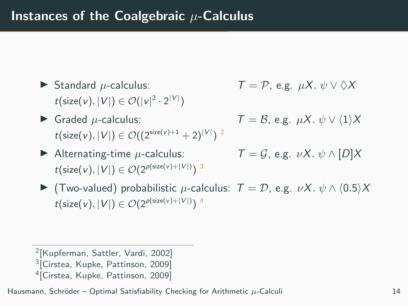- $\blacktriangleright$  Standard  $\mu$ -calculus:  $t(\text{size}(v), |V|) \in \mathcal{O}(|v|^2 \cdot 2^{|V|})$
- $\blacktriangleright$  Graded  $\mu$ -calculus:  $t(\text{size}(v), |V|) \in \mathcal{O}((2^{\text{size}(v)+1}+2)^{|V|})^{2})$
- $\blacktriangleright$  Alternating-time  $\mu$ -calculus:  $t(\text{size}(v), |V|) \in \mathcal{O}(2^{p(\text{size}(v) + |V|)})$ <sup>3</sup>

$$
T = P
$$
, e.g.  $\mu X$ .  $\psi \vee \Diamond X$ 

$$
\mathcal{T} = \mathcal{B}, \text{ e.g. } \mu \mathcal{X}. \psi \vee \langle 1 \rangle \mathcal{X}
$$

$$
T = \mathcal{G}, \text{ e.g. } \nu X. \psi \wedge [D]X
$$

 $\blacktriangleright$  (Two-valued) probabilistic μ-calculus:  $T = D$ , e.g. νX.  $\psi \wedge (0.5)X$  $t(\text{size}(v), |V|) \in \mathcal{O}(2^{p(\text{size}(v) + |V|)})$  4

2 [Kupferman, Sattler, Vardi, 2002] <sup>3</sup> [Cirstea, Kupke, Pattinson, 2009] 4 [Cirstea, Kupke, Pattinson, 2009]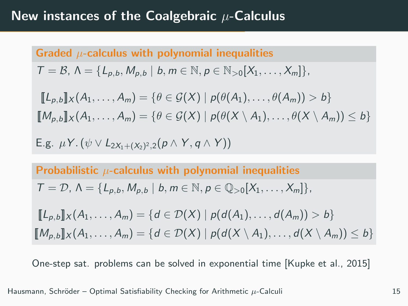# Graded  $\mu$ -calculus with polynomial inequalities  $T = \mathcal{B}, \Lambda = \{L_{p,b}, M_{p,b} \mid b, m \in \mathbb{N}, p \in \mathbb{N}_{>0} | X_1, \ldots, X_m \}$  $\llbracket L_{p,b} \rrbracket_X (A_1, \ldots, A_m) = \{ \theta \in \mathcal{G}(X) \mid p(\theta(A_1), \ldots, \theta(A_m)) > b \}$  $[M_{p,b}]\!]_X (A_1,\ldots,A_m) = \{\theta \in \mathcal{G}(X) \mid p(\theta(X \setminus A_1),\ldots,\theta(X \setminus A_m)) \leq b\}$ E.g.  $\mu$ Y. ( $\psi \vee L_{2X_1+(X_2)^2,2}(p \wedge Y, q \wedge Y)$ )

Probabilistic  $\mu$ -calculus with polynomial inequalities

$$
\mathcal{T}=\mathcal{D}, \Lambda=\{L_{p,b},M_{p,b} \mid b,m \in \mathbb{N}, p \in \mathbb{Q}_{>0}[X_1,\ldots,X_m]\},\
$$

$$
[\![L_{p,b}]\!]_X(A_1,\ldots,A_m) = \{d \in \mathcal{D}(X) \mid p(d(A_1),\ldots,d(A_m)) > b\}
$$
\n
$$
[\![M_{p,b}]\!]_X(A_1,\ldots,A_m) = \{d \in \mathcal{D}(X) \mid p(d(X \setminus A_1),\ldots,d(X \setminus A_m)) \leq b\}
$$

One-step sat. problems can be solved in exponential time [Kupke et al., 2015]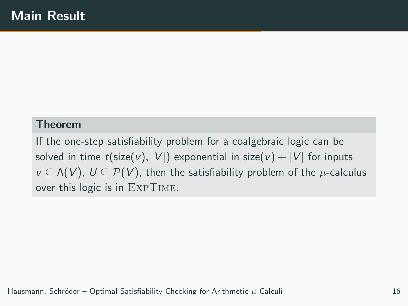#### Theorem

If the one-step satisfiability problem for a coalgebraic logic can be solved in time  $t$ (size(v), |V|) exponential in size(v) + |V| for inputs  $v \subseteq \Lambda(V)$ ,  $U \subseteq \mathcal{P}(V)$ , then the satisfiability problem of the  $\mu$ -calculus over this logic is in ExpTime.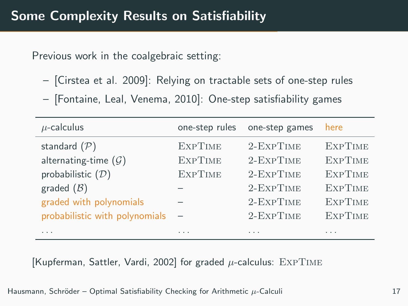Previous work in the coalgebraic setting:

- [Cirstea et al. 2009]: Relying on tractable sets of one-step rules
- [Fontaine, Leal, Venema, 2010]: One-step satisfiability games

| $\mu$ -calculus                  | one-step rules           | one-step games   | here           |
|----------------------------------|--------------------------|------------------|----------------|
| standard $(\mathcal{P})$         | <b>EXPTIME</b>           | 2-EXPTIME        | <b>EXPTIME</b> |
| alternating-time $(\mathcal{G})$ | <b>EXPTIME</b>           | $2$ -Exp $T$ IME | <b>EXPTIME</b> |
| probabilistic $(D)$              | <b>EXPTIME</b>           | 2-EXPTIME        | <b>EXPTIME</b> |
| graded $(\mathcal{B})$           |                          | 2-EXPTIME        | <b>EXPTIME</b> |
| graded with polynomials          |                          | 2-EXPTIME        | <b>EXPTIME</b> |
| probabilistic with polynomials   | $\overline{\phantom{0}}$ | 2-EXPTIME        | <b>EXPTIME</b> |
| .                                | $\cdots$                 | .                | .              |

[Kupferman, Sattler, Vardi, 2002] for graded  $\mu$ -calculus: EXPTIME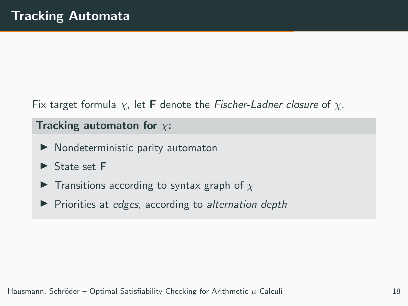Fix target formula  $\chi$ , let **F** denote the Fischer-Ladner closure of  $\chi$ .

### Tracking automaton for  $\chi$ :

- $\blacktriangleright$  Nondeterministic parity automaton
- $\triangleright$  State set F
- **F** Transitions according to syntax graph of  $\chi$
- $\blacktriangleright$  Priorities at edges, according to alternation depth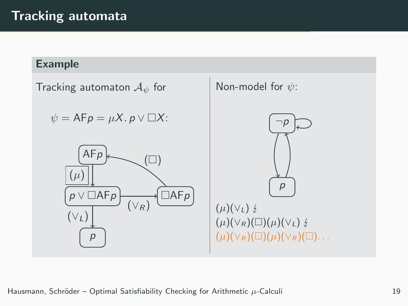# Tracking automata

#### Example

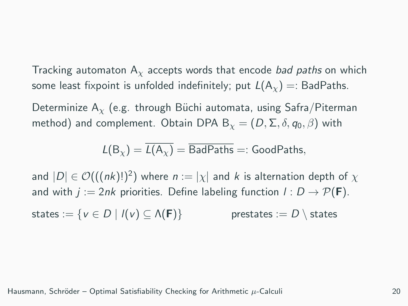Tracking automaton  $A<sub>x</sub>$  accepts words that encode *bad paths* on which some least fixpoint is unfolded indefinitely; put  $L(A_x) =:$  BadPaths.

Determinize  $A_{\gamma}$  (e.g. through Büchi automata, using Safra/Piterman method) and complement. Obtain DPA B<sub> $x$ </sub> =  $(D, \Sigma, \delta, q_0, \beta)$  with

$$
L(B_{\chi}) = \overline{L(A_{\chi})} = \overline{\mathsf{BadPaths}} =: \mathsf{GoodPaths},
$$

and  $|D| \in \mathcal{O}(((nk)!)^2)$  where  $n := |\chi|$  and  $k$  is alternation depth of  $\chi$ and with  $j := 2nk$  priorities. Define labeling function  $l : D \to \mathcal{P}(\mathbf{F})$ . states :=  $\{v \in D \mid l(v) \subseteq \Lambda(F)\}$  prestates :=  $D \setminus$  states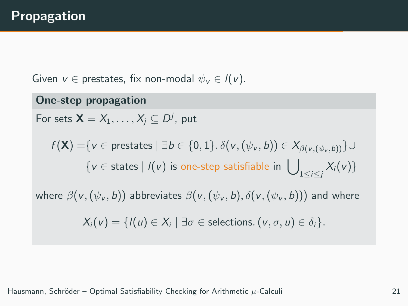Given  $v \in$  prestates, fix non-modal  $\psi_v \in I(v)$ .

One-step propagation For sets  $\mathsf{X} = X_1, \ldots, X_j \subseteq D^j$ , put  $f(\mathsf{X}) = \{v \in \text{prestates} \mid \exists b \in \{0,1\} \ldotp \delta(v,(\psi_v, b)) \in X_{\beta(v,(\psi_v, b))}\} \cup$  $\{v \in \text{states} \mid l(v) \text{ is one-step satisfiable in } \bigcup\nolimits_{1 \leq i \leq j} X_i(v)\}$ where  $\beta(v,(\psi_v, b))$  abbreviates  $\beta(v,(\psi_v, b), \delta(v,(\psi_v, b)))$  and where  $X_i(v) = \{l(u) \in X_i \mid \exists \sigma \in \text{selections. } (v, \sigma, u) \in \delta_i\}.$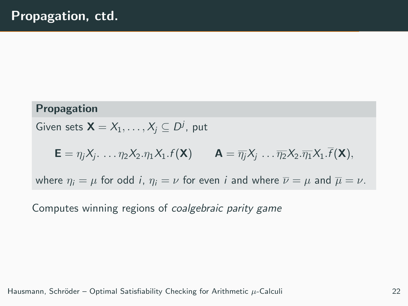#### Propagation

Given sets  $\mathsf{X} = X_1, \ldots, X_j \subseteq D^j$ , put

$$
\mathbf{E} = \eta_j X_j \dots \eta_2 X_2 \eta_1 X_1 f(\mathbf{X}) \qquad \mathbf{A} = \overline{\eta_j} X_j \dots \overline{\eta_2} X_2 \overline{\eta_1} X_1 \cdot \overline{f}(\mathbf{X}),
$$

where  $\eta_i = \mu$  for odd *i*,  $\eta_i = \nu$  for even *i* and where  $\overline{\nu} = \mu$  and  $\overline{\mu} = \nu$ .

Computes winning regions of coalgebraic parity game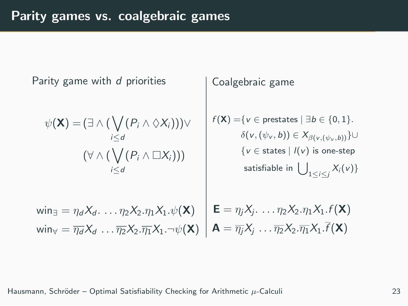Parity game with d priorities  $\psi(\mathsf{X}) = (\exists \wedge (\bigvee$ i≤d  $(P_i \wedge \Diamond X_i)))\vee$  $(\forall \wedge (\bigvee$ i≤d  $(P_i \wedge \Box X_i))$  $\mathsf{win}_{\exists} = \eta_d X_d \ldots \eta_2 X_2 \ldotp \eta_1 X_1 \ldotp \psi(\mathsf{X})$ win $_{\forall} = \overline{\eta_d} X_d \, \ldots \overline{\eta_2} X_2 . \overline{\eta_1} X_1 . \neg \psi(\mathsf{X})$ Coalgebraic game  $f(\mathsf{X}) = \{v \in \text{prestates} \mid \exists b \in \{0,1\}.$  $\delta({\mathsf{v}},(\psi_{\mathsf{v}}, {\mathsf{b}}))\in \mathsf{X}_{\beta({\mathsf{v}},(\psi_{\mathsf{v}}, {\mathsf{b}}))}\} \cup$  $\{v \in \text{states} \mid l(v) \text{ is one-step}\}$ satisfiable in  $\bigcup_{1\leq i\leq j}X_i(v)\}$  $\mathbf{E} = \eta_j X_j \dots \eta_2 X_2 \eta_1 X_1 f(\mathbf{X})$  $\mathsf{A} = \overline{\eta_j} \mathsf{X}_j \ \ldots \overline{\eta_2} \mathsf{X}_2 . \overline{\eta_1} \mathsf{X}_1 . f(\mathsf{X})$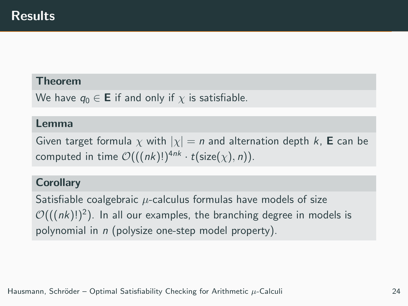#### Theorem

We have  $q_0 \in \mathbf{E}$  if and only if  $\chi$  is satisfiable.

#### Lemma

Given target formula  $\chi$  with  $|\chi| = n$  and alternation depth k, **E** can be computed in time  $\mathcal{O}(((nk)!)^{4nk} \cdot t(\text{size}(\chi), n)).$ 

#### **Corollary**

Satisfiable coalgebraic  $\mu$ -calculus formulas have models of size  $\mathcal{O}(((nk)!)^2)$ . In all our examples, the branching degree in models is polynomial in n (polysize one-step model property).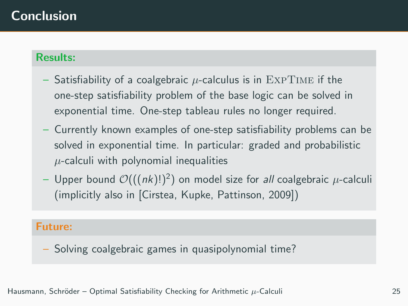# Conclusion

#### Results:

- Satisfiability of a coalgebraic  $\mu$ -calculus is in EXPTIME if the one-step satisfiability problem of the base logic can be solved in exponential time. One-step tableau rules no longer required.
- Currently known examples of one-step satisfiability problems can be solved in exponential time. In particular: graded and probabilistic  $\mu$ -calculi with polynomial inequalities
- $-$  Upper bound  $\mathcal{O}(( (nk)!)^2)$  on model size for *all* coalgebraic  $\mu$ -calculi (implicitly also in [Cirstea, Kupke, Pattinson, 2009])

#### Future:

– Solving coalgebraic games in quasipolynomial time?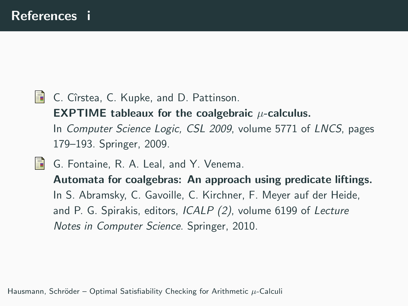**C.** Cîrstea, C. Kupke, and D. Pattinson.

**EXPTIME** tableaux for the coalgebraic  $\mu$ -calculus. In Computer Science Logic, CSL 2009, volume 5771 of LNCS, pages 179–193. Springer, 2009.

歸 G. Fontaine, R. A. Leal, and Y. Venema.

Automata for coalgebras: An approach using predicate liftings. In S. Abramsky, C. Gavoille, C. Kirchner, F. Meyer auf der Heide, and P. G. Spirakis, editors, ICALP (2), volume 6199 of Lecture Notes in Computer Science. Springer, 2010.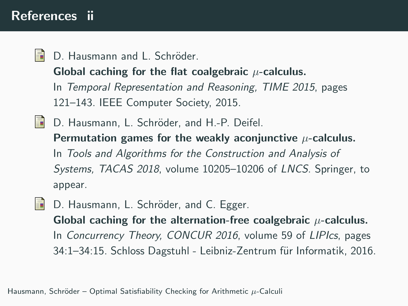# References ii

歸 D. Hausmann and L. Schröder.

Global caching for the flat coalgebraic  $\mu$ -calculus.

In Temporal Representation and Reasoning, TIME 2015, pages 121–143. IEEE Computer Society, 2015.

- **D.** Hausmann, L. Schröder, and H.-P. Deifel. Permutation games for the weakly aconjunctive  $\mu$ -calculus. In Tools and Algorithms for the Construction and Analysis of Systems, TACAS 2018, volume 10205–10206 of LNCS. Springer, to appear.
- D. Hausmann, L. Schröder, and C. Egger. H Global caching for the alternation-free coalgebraic  $\mu$ -calculus. In Concurrency Theory, CONCUR 2016, volume 59 of LIPIcs, pages 34:1–34:15. Schloss Dagstuhl - Leibniz-Zentrum für Informatik, 2016.